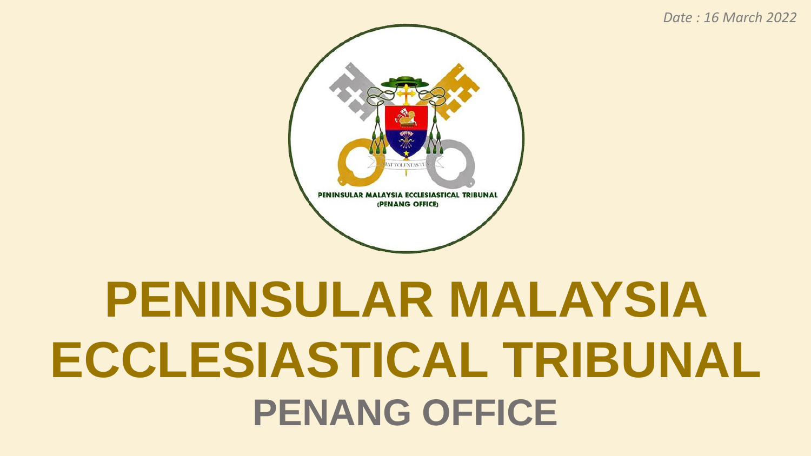#### *Date : 16 March 2022*

### **PENINSULAR MALAYSIA ECCLESIASTICAL TRIBUNAL PENANG OFFICE**

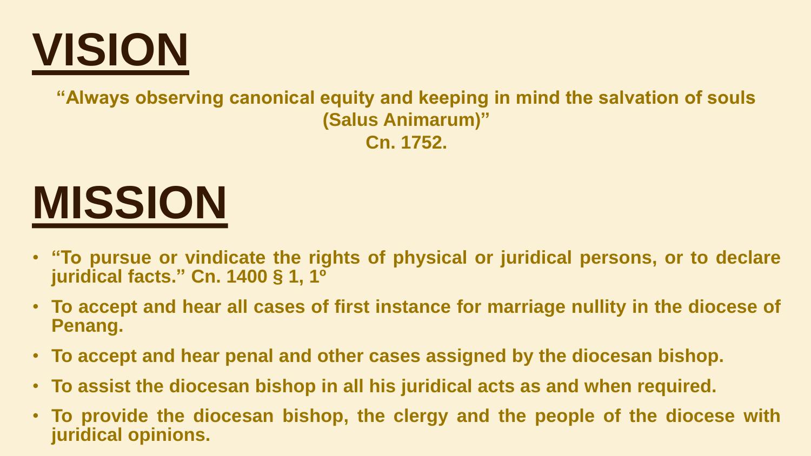

**"Always observing canonical equity and keeping in mind the salvation of souls (Salus Animarum)" Cn. 1752.**

### **MISSION**

- **"To pursue or vindicate the rights of physical or juridical persons, or to declare juridical facts." Cn. 1400 § 1, 1º**
- **To accept and hear all cases of first instance for marriage nullity in the diocese of Penang.**
- **To accept and hear penal and other cases assigned by the diocesan bishop.**
- **To assist the diocesan bishop in all his juridical acts as and when required.**
- **To provide the diocesan bishop, the clergy and the people of the diocese with juridical opinions.**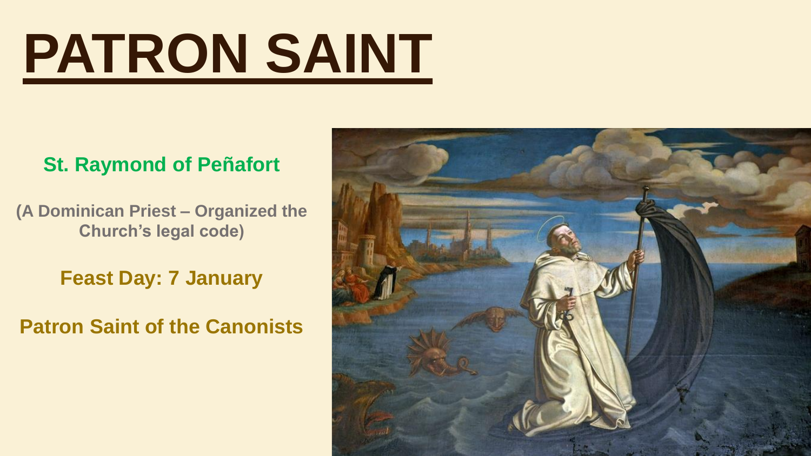## **PATRON SAINT**

#### **St. Raymond of Peñafort**

**(A Dominican Priest – Organized the Church's legal code)**

**Feast Day: 7 January**

**Patron Saint of the Canonists**

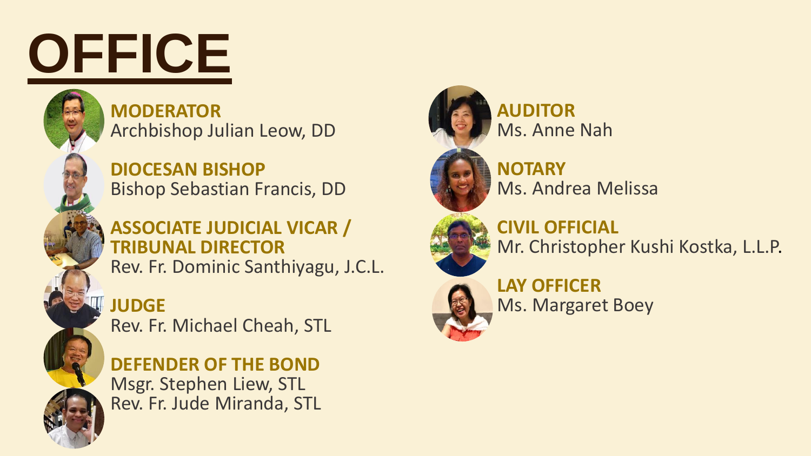## **OFFICE**

**MODERATOR** Archbishop Julian Leow, DD

**DIOCESAN BISHOP** Bishop Sebastian Francis, DD

#### **ASSOCIATE JUDICIAL VICAR / TRIBUNAL DIRECTOR** Rev. Fr. Dominic Santhiyagu, J.C.L.

**JUDGE**

Rev. Fr. Michael Cheah, STL

**DEFENDER OF THE BOND** Msgr. Stephen Liew, STL Rev. Fr. Jude Miranda, STL



**AUDITOR** Ms. Anne Nah



Ms. Andrea Melissa



**CIVIL OFFICIAL** Mr. Christopher Kushi Kostka, L.L.P.



**LAY OFFICER** Ms. Margaret Boey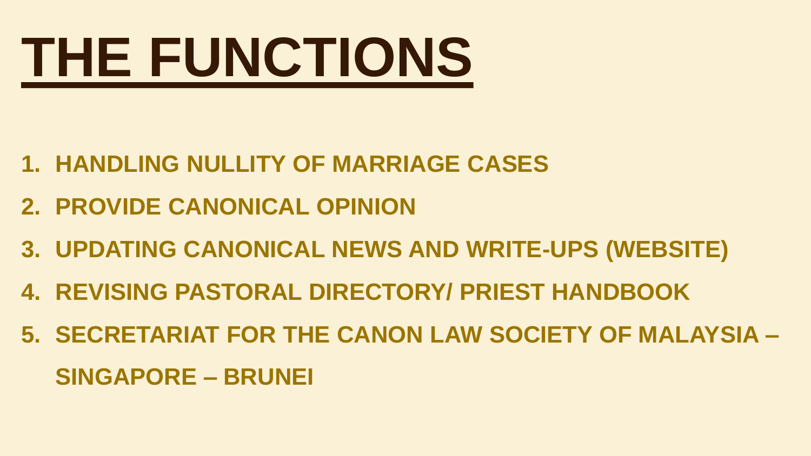# **THE FUNCTIONS**

- **1. HANDLING NULLITY OF MARRIAGE CASES**
- **2. PROVIDE CANONICAL OPINION**
- **3. UPDATING CANONICAL NEWS AND WRITE-UPS (WEBSITE)**
- **4. REVISING PASTORAL DIRECTORY/ PRIEST HANDBOOK**
- **5. SECRETARIAT FOR THE CANON LAW SOCIETY OF MALAYSIA – SINGAPORE – BRUNEI**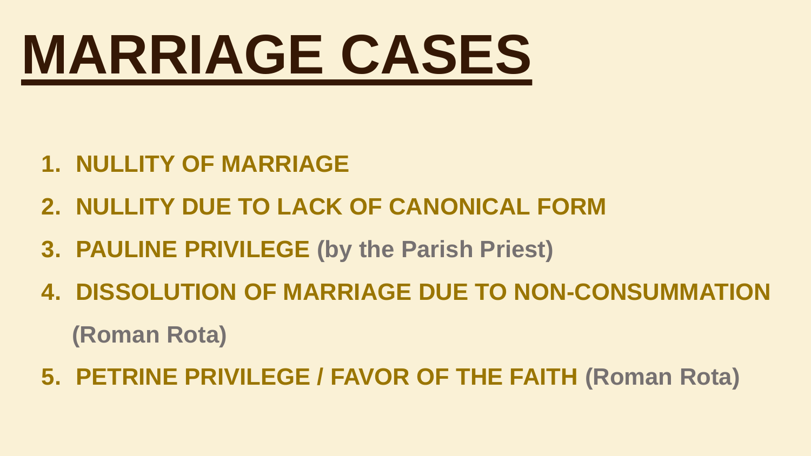### **MARRIAGE CASES**

- **1. NULLITY OF MARRIAGE**
- **2. NULLITY DUE TO LACK OF CANONICAL FORM**
- **3. PAULINE PRIVILEGE (by the Parish Priest)**
- **4. DISSOLUTION OF MARRIAGE DUE TO NON-CONSUMMATION (Roman Rota)**
- **5. PETRINE PRIVILEGE / FAVOR OF THE FAITH (Roman Rota)**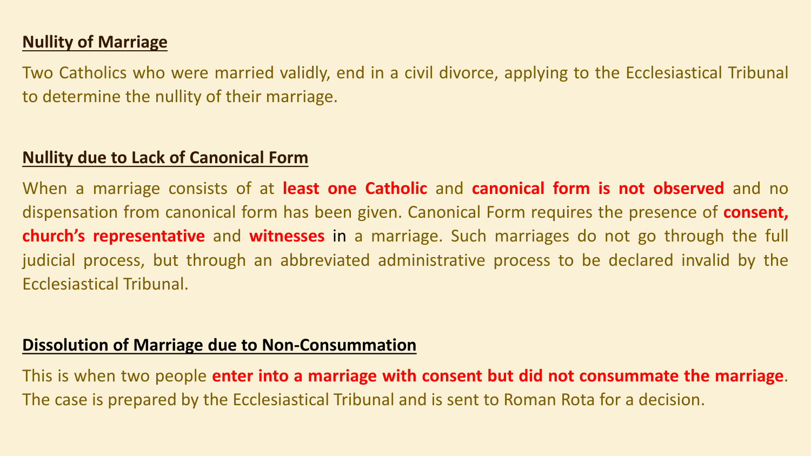#### **Nullity of Marriage**

Two Catholics who were married validly, end in a civil divorce, applying to the Ecclesiastical Tribunal to determine the nullity of their marriage.

#### **Nullity due to Lack of Canonical Form**

When a marriage consists of at **least one Catholic** and **canonical form is not observed** and no dispensation from canonical form has been given. Canonical Form requires the presence of **consent, church's representative** and **witnesses** in a marriage. Such marriages do not go through the full judicial process, but through an abbreviated administrative process to be declared invalid by the Ecclesiastical Tribunal.

#### **Dissolution of Marriage due to Non-Consummation**

This is when two people **enter into a marriage with consent but did not consummate the marriage**. The case is prepared by the Ecclesiastical Tribunal and is sent to Roman Rota for a decision.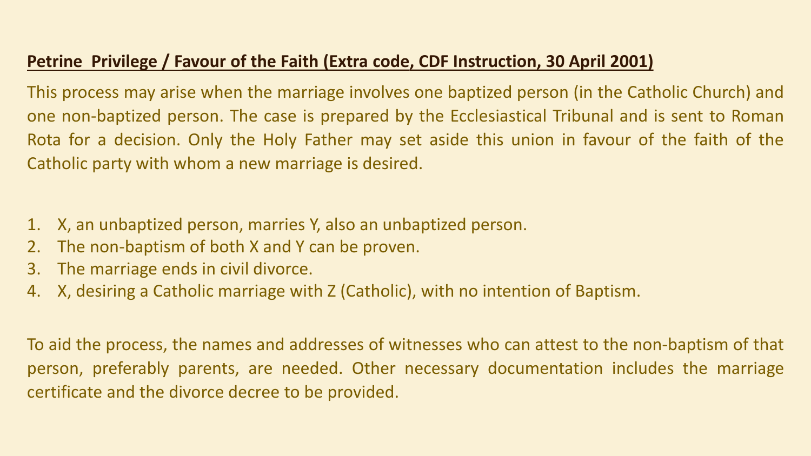#### **Petrine Privilege / Favour of the Faith (Extra code, CDF Instruction, 30 April 2001)**

This process may arise when the marriage involves one baptized person (in the Catholic Church) and one non-baptized person. The case is prepared by the Ecclesiastical Tribunal and is sent to Roman Rota for a decision. Only the Holy Father may set aside this union in favour of the faith of the Catholic party with whom a new marriage is desired.

- 1. X, an unbaptized person, marries Y, also an unbaptized person.
- 2. The non-baptism of both X and Y can be proven.
- 3. The marriage ends in civil divorce.
- 4. X, desiring a Catholic marriage with Z (Catholic), with no intention of Baptism.

To aid the process, the names and addresses of witnesses who can attest to the non-baptism of that person, preferably parents, are needed. Other necessary documentation includes the marriage certificate and the divorce decree to be provided.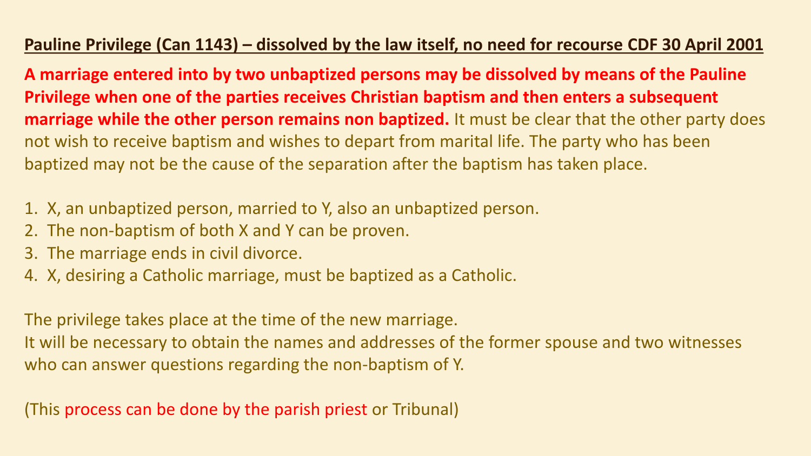#### **Pauline Privilege (Can 1143) – dissolved by the law itself, no need for recourse CDF 30 April 2001**

**A marriage entered into by two unbaptized persons may be dissolved by means of the Pauline Privilege when one of the parties receives Christian baptism and then enters a subsequent marriage while the other person remains non baptized.** It must be clear that the other party does not wish to receive baptism and wishes to depart from marital life. The party who has been baptized may not be the cause of the separation after the baptism has taken place.

- 1. X, an unbaptized person, married to Y, also an unbaptized person.
- 2. The non-baptism of both X and Y can be proven.
- 3. The marriage ends in civil divorce.
- 4. X, desiring a Catholic marriage, must be baptized as a Catholic.

The privilege takes place at the time of the new marriage. It will be necessary to obtain the names and addresses of the former spouse and two witnesses who can answer questions regarding the non-baptism of Y.

(This process can be done by the parish priest or Tribunal)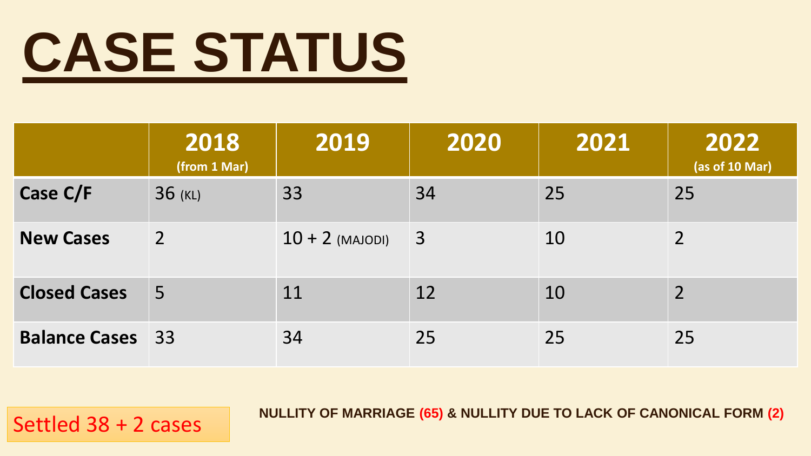## **CASE STATUS**

|                         | 2018<br>(from 1 Mar) | 2019              | 2020           | 2021 | 2022<br>(as of 10 Mar) |
|-------------------------|----------------------|-------------------|----------------|------|------------------------|
| Case C/F                | 36 (KL)              | 33                | 34             | 25   | 25                     |
| <b>New Cases</b>        | $\overline{2}$       | $10 + 2$ (MAJODI) | $\overline{3}$ | 10   | $\overline{2}$         |
| <b>Closed Cases</b>     | $\overline{5}$       | 11                | 12             | 10   | $\overline{2}$         |
| <b>Balance Cases</b> 33 |                      | 34                | 25             | 25   | 25                     |

NULLITY OF MARRIAGE (65) & NULLITY DUE TO LACK OF CANONICAL FORM (2)<br>Settled 38 + 2 cases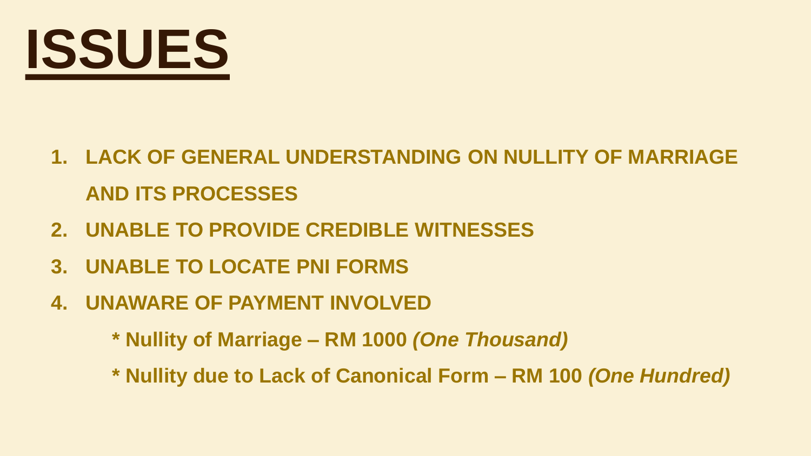

- **1. LACK OF GENERAL UNDERSTANDING ON NULLITY OF MARRIAGE AND ITS PROCESSES**
- **2. UNABLE TO PROVIDE CREDIBLE WITNESSES**
- **3. UNABLE TO LOCATE PNI FORMS**
- **4. UNAWARE OF PAYMENT INVOLVED**
	- **\* Nullity of Marriage – RM 1000** *(One Thousand)*
	- **\* Nullity due to Lack of Canonical Form – RM 100** *(One Hundred)*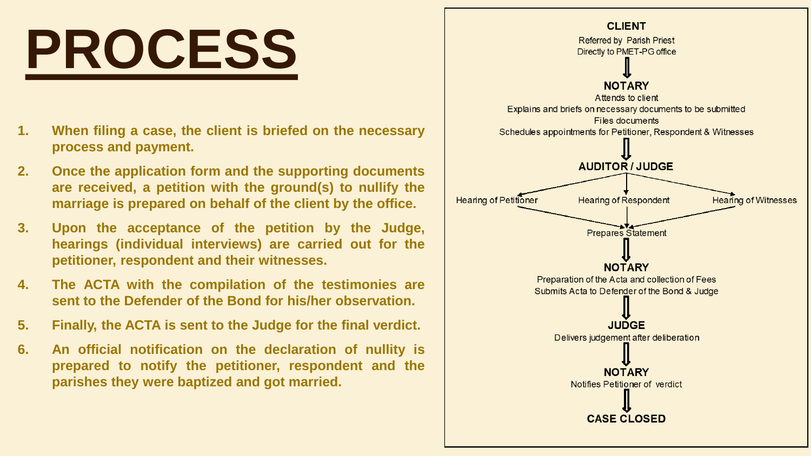

- **1. When filing a case, the client is briefed on the necessary process and payment.**
- **2. Once the application form and the supporting documents are received, a petition with the ground(s) to nullify the marriage is prepared on behalf of the client by the office.**
- **3. Upon the acceptance of the petition by the Judge, hearings (individual interviews) are carried out for the petitioner, respondent and their witnesses.**
- **4. The ACTA with the compilation of the testimonies are sent to the Defender of the Bond for his/her observation.**
- **5. Finally, the ACTA is sent to the Judge for the final verdict.**
- **6. An official notification on the declaration of nullity is prepared to notify the petitioner, respondent and the parishes they were baptized and got married.**

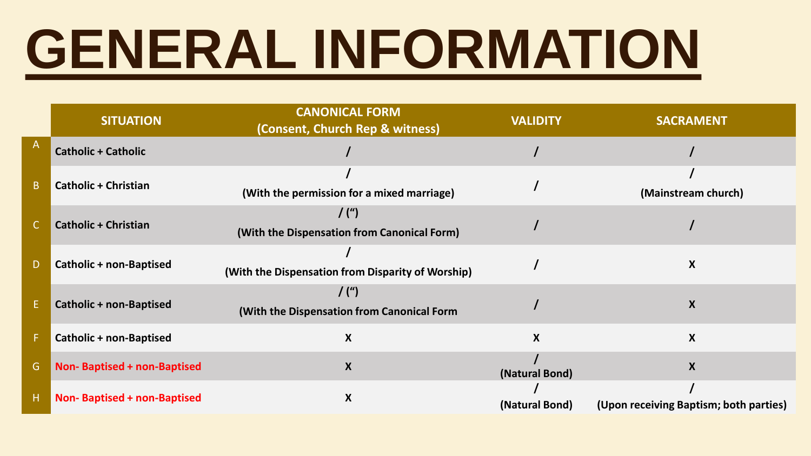## **GENERAL INFORMATION**

|    | <b>SITUATION</b>                   | <b>CANONICAL FORM</b><br>(Consent, Church Rep & witness) | <b>VALIDITY</b>  | <b>SACRAMENT</b>                       |
|----|------------------------------------|----------------------------------------------------------|------------------|----------------------------------------|
| A  | <b>Catholic + Catholic</b>         |                                                          |                  |                                        |
| B. | <b>Catholic + Christian</b>        | (With the permission for a mixed marriage)               |                  | (Mainstream church)                    |
|    | <b>Catholic + Christian</b>        | $/$ (")<br>(With the Dispensation from Canonical Form)   |                  |                                        |
| D  | <b>Catholic + non-Baptised</b>     | (With the Dispensation from Disparity of Worship)        |                  | X                                      |
| E. | <b>Catholic + non-Baptised</b>     | $/$ (")<br>(With the Dispensation from Canonical Form    |                  | X                                      |
| F. | <b>Catholic + non-Baptised</b>     | X                                                        | $\boldsymbol{X}$ | X                                      |
| G. | <b>Non-Baptised + non-Baptised</b> | X                                                        | (Natural Bond)   | X                                      |
| Н. | <b>Non-Baptised + non-Baptised</b> | X                                                        | (Natural Bond)   | (Upon receiving Baptism; both parties) |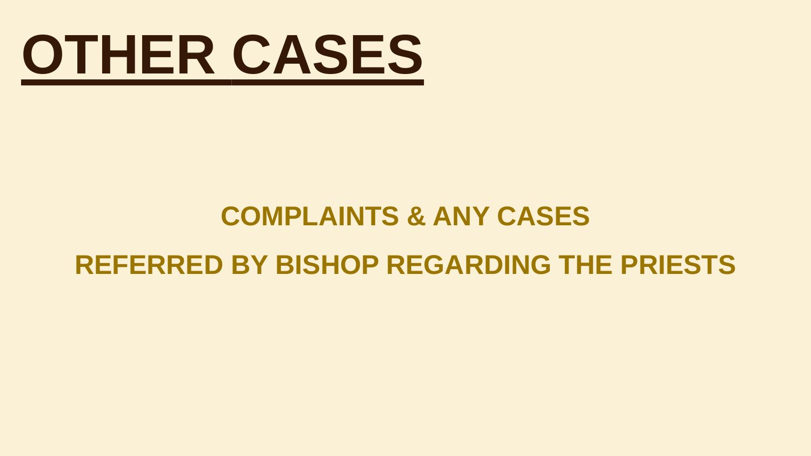

### **COMPLAINTS & ANY CASES**

### **REFERRED BY BISHOP REGARDING THE PRIESTS**